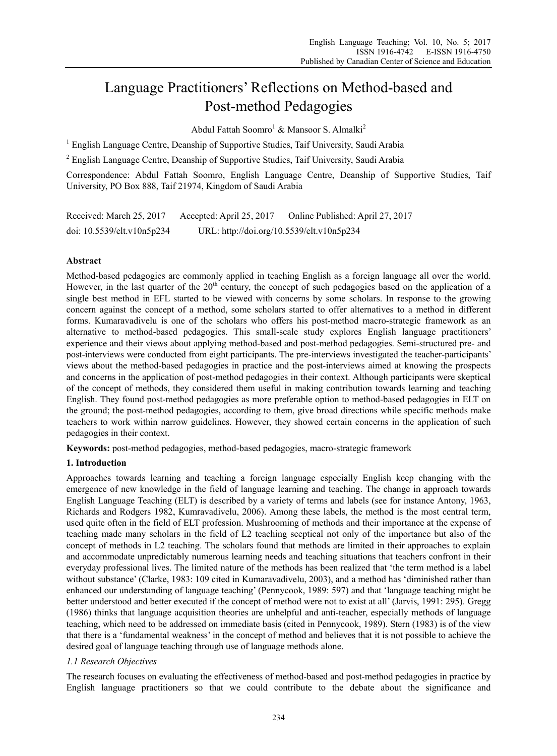# Language Practitioners' Reflections on Method-based and Post-method Pedagogies

Abdul Fattah Soomro<sup>1</sup> & Mansoor S. Almalki<sup>2</sup>

<sup>1</sup> English Language Centre, Deanship of Supportive Studies, Taif University, Saudi Arabia

<sup>2</sup> English Language Centre, Deanship of Supportive Studies, Taif University, Saudi Arabia

Correspondence: Abdul Fattah Soomro, English Language Centre, Deanship of Supportive Studies, Taif University, PO Box 888, Taif 21974, Kingdom of Saudi Arabia

| Received: March 25, 2017         | Accepted: April 25, 2017                  | Online Published: April 27, 2017 |
|----------------------------------|-------------------------------------------|----------------------------------|
| doi: $10.5539$ /elt.v $10n5p234$ | URL: http://doi.org/10.5539/elt.v10n5p234 |                                  |

## **Abstract**

Method-based pedagogies are commonly applied in teaching English as a foreign language all over the world. However, in the last quarter of the  $20<sup>th</sup>$  century, the concept of such pedagogies based on the application of a single best method in EFL started to be viewed with concerns by some scholars. In response to the growing concern against the concept of a method, some scholars started to offer alternatives to a method in different forms. Kumaravadivelu is one of the scholars who offers his post-method macro-strategic framework as an alternative to method-based pedagogies. This small-scale study explores English language practitioners' experience and their views about applying method-based and post-method pedagogies. Semi-structured pre- and post-interviews were conducted from eight participants. The pre-interviews investigated the teacher-participants' views about the method-based pedagogies in practice and the post-interviews aimed at knowing the prospects and concerns in the application of post-method pedagogies in their context. Although participants were skeptical of the concept of methods, they considered them useful in making contribution towards learning and teaching English. They found post-method pedagogies as more preferable option to method-based pedagogies in ELT on the ground; the post-method pedagogies, according to them, give broad directions while specific methods make teachers to work within narrow guidelines. However, they showed certain concerns in the application of such pedagogies in their context.

**Keywords:** post-method pedagogies, method-based pedagogies, macro-strategic framework

#### **1. Introduction**

Approaches towards learning and teaching a foreign language especially English keep changing with the emergence of new knowledge in the field of language learning and teaching. The change in approach towards English Language Teaching (ELT) is described by a variety of terms and labels (see for instance Antony, 1963, Richards and Rodgers 1982, Kumravadivelu, 2006). Among these labels, the method is the most central term, used quite often in the field of ELT profession. Mushrooming of methods and their importance at the expense of teaching made many scholars in the field of L2 teaching sceptical not only of the importance but also of the concept of methods in L2 teaching. The scholars found that methods are limited in their approaches to explain and accommodate unpredictably numerous learning needs and teaching situations that teachers confront in their everyday professional lives. The limited nature of the methods has been realized that 'the term method is a label without substance' (Clarke, 1983: 109 cited in Kumaravadivelu, 2003), and a method has 'diminished rather than enhanced our understanding of language teaching' (Pennycook, 1989: 597) and that 'language teaching might be better understood and better executed if the concept of method were not to exist at all' (Jarvis, 1991: 295). Gregg (1986) thinks that language acquisition theories are unhelpful and anti-teacher, especially methods of language teaching, which need to be addressed on immediate basis (cited in Pennycook, 1989). Stern (1983) is of the view that there is a 'fundamental weakness' in the concept of method and believes that it is not possible to achieve the desired goal of language teaching through use of language methods alone.

### *1.1 Research Objectives*

The research focuses on evaluating the effectiveness of method-based and post-method pedagogies in practice by English language practitioners so that we could contribute to the debate about the significance and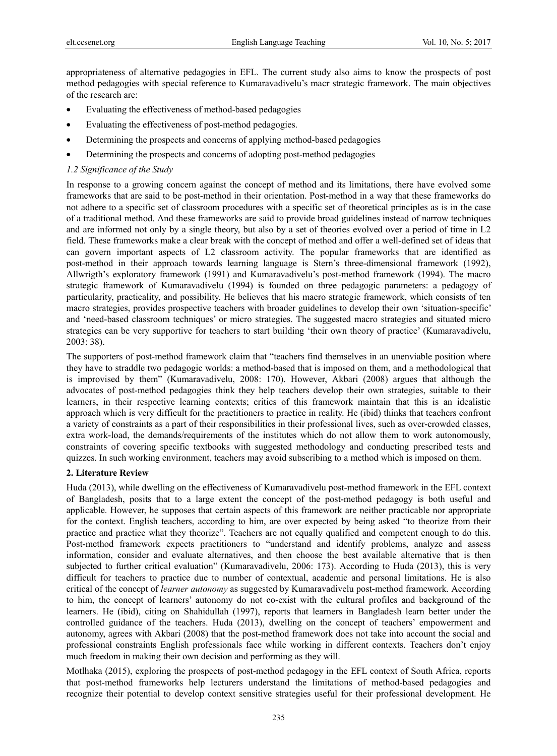appropriateness of alternative pedagogies in EFL. The current study also aims to know the prospects of post method pedagogies with special reference to Kumaravadivelu's macr strategic framework. The main objectives of the research are:

- Evaluating the effectiveness of method-based pedagogies
- Evaluating the effectiveness of post-method pedagogies.
- Determining the prospects and concerns of applying method-based pedagogies
- Determining the prospects and concerns of adopting post-method pedagogies

# *1.2 Significance of the Study*

In response to a growing concern against the concept of method and its limitations, there have evolved some frameworks that are said to be post-method in their orientation. Post-method in a way that these frameworks do not adhere to a specific set of classroom procedures with a specific set of theoretical principles as is in the case of a traditional method. And these frameworks are said to provide broad guidelines instead of narrow techniques and are informed not only by a single theory, but also by a set of theories evolved over a period of time in L2 field. These frameworks make a clear break with the concept of method and offer a well-defined set of ideas that can govern important aspects of L2 classroom activity. The popular frameworks that are identified as post-method in their approach towards learning language is Stern's three-dimensional framework (1992), Allwrigth's exploratory framework (1991) and Kumaravadivelu's post-method framework (1994). The macro strategic framework of Kumaravadivelu (1994) is founded on three pedagogic parameters: a pedagogy of particularity, practicality, and possibility. He believes that his macro strategic framework, which consists of ten macro strategies, provides prospective teachers with broader guidelines to develop their own 'situation-specific' and 'need-based classroom techniques' or micro strategies. The suggested macro strategies and situated micro strategies can be very supportive for teachers to start building 'their own theory of practice' (Kumaravadivelu, 2003: 38).

The supporters of post-method framework claim that "teachers find themselves in an unenviable position where they have to straddle two pedagogic worlds: a method-based that is imposed on them, and a methodological that is improvised by them" (Kumaravadivelu, 2008: 170). However, Akbari (2008) argues that although the advocates of post-method pedagogies think they help teachers develop their own strategies, suitable to their learners, in their respective learning contexts; critics of this framework maintain that this is an idealistic approach which is very difficult for the practitioners to practice in reality. He (ibid) thinks that teachers confront a variety of constraints as a part of their responsibilities in their professional lives, such as over-crowded classes, extra work-load, the demands/requirements of the institutes which do not allow them to work autonomously, constraints of covering specific textbooks with suggested methodology and conducting prescribed tests and quizzes. In such working environment, teachers may avoid subscribing to a method which is imposed on them.

# **2. Literature Review**

Huda (2013), while dwelling on the effectiveness of Kumaravadivelu post-method framework in the EFL context of Bangladesh, posits that to a large extent the concept of the post-method pedagogy is both useful and applicable. However, he supposes that certain aspects of this framework are neither practicable nor appropriate for the context. English teachers, according to him, are over expected by being asked "to theorize from their practice and practice what they theorize". Teachers are not equally qualified and competent enough to do this. Post-method framework expects practitioners to "understand and identify problems, analyze and assess information, consider and evaluate alternatives, and then choose the best available alternative that is then subjected to further critical evaluation" (Kumaravadivelu, 2006: 173). According to Huda (2013), this is very difficult for teachers to practice due to number of contextual, academic and personal limitations. He is also critical of the concept of *learner autonomy* as suggested by Kumaravadivelu post-method framework. According to him, the concept of learners' autonomy do not co-exist with the cultural profiles and background of the learners. He (ibid), citing on Shahidullah (1997), reports that learners in Bangladesh learn better under the controlled guidance of the teachers. Huda (2013), dwelling on the concept of teachers' empowerment and autonomy, agrees with Akbari (2008) that the post-method framework does not take into account the social and professional constraints English professionals face while working in different contexts. Teachers don't enjoy much freedom in making their own decision and performing as they will.

Motlhaka (2015), exploring the prospects of post-method pedagogy in the EFL context of South Africa, reports that post-method frameworks help lecturers understand the limitations of method-based pedagogies and recognize their potential to develop context sensitive strategies useful for their professional development. He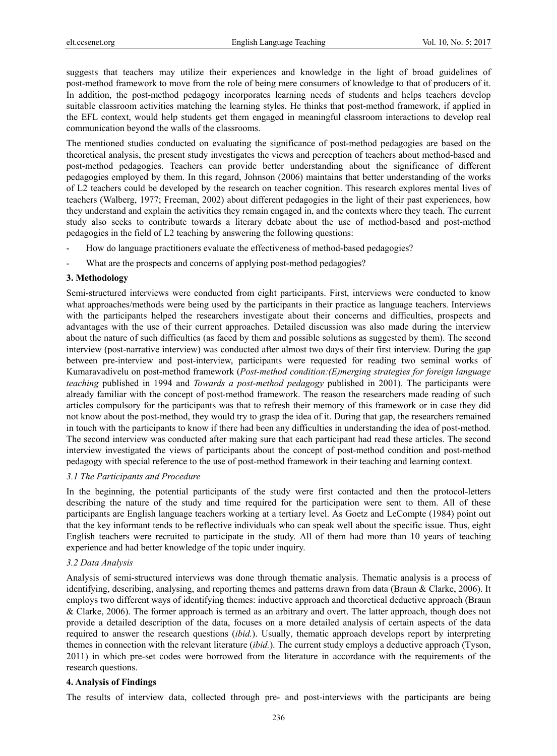suggests that teachers may utilize their experiences and knowledge in the light of broad guidelines of post-method framework to move from the role of being mere consumers of knowledge to that of producers of it. In addition, the post-method pedagogy incorporates learning needs of students and helps teachers develop suitable classroom activities matching the learning styles. He thinks that post-method framework, if applied in the EFL context, would help students get them engaged in meaningful classroom interactions to develop real communication beyond the walls of the classrooms.

The mentioned studies conducted on evaluating the significance of post-method pedagogies are based on the theoretical analysis, the present study investigates the views and perception of teachers about method-based and post-method pedagogies. Teachers can provide better understanding about the significance of different pedagogies employed by them. In this regard, Johnson (2006) maintains that better understanding of the works of L2 teachers could be developed by the research on teacher cognition. This research explores mental lives of teachers (Walberg, 1977; Freeman, 2002) about different pedagogies in the light of their past experiences, how they understand and explain the activities they remain engaged in, and the contexts where they teach. The current study also seeks to contribute towards a literary debate about the use of method-based and post-method pedagogies in the field of L2 teaching by answering the following questions:

- How do language practitioners evaluate the effectiveness of method-based pedagogies?
- What are the prospects and concerns of applying post-method pedagogies?

## **3. Methodology**

Semi-structured interviews were conducted from eight participants. First, interviews were conducted to know what approaches/methods were being used by the participants in their practice as language teachers. Interviews with the participants helped the researchers investigate about their concerns and difficulties, prospects and advantages with the use of their current approaches. Detailed discussion was also made during the interview about the nature of such difficulties (as faced by them and possible solutions as suggested by them). The second interview (post-narrative interview) was conducted after almost two days of their first interview. During the gap between pre-interview and post-interview, participants were requested for reading two seminal works of Kumaravadivelu on post-method framework (*Post-method condition:(E)merging strategies for foreign language teaching* published in 1994 and *Towards a post-method pedagogy* published in 2001). The participants were already familiar with the concept of post-method framework. The reason the researchers made reading of such articles compulsory for the participants was that to refresh their memory of this framework or in case they did not know about the post-method, they would try to grasp the idea of it. During that gap, the researchers remained in touch with the participants to know if there had been any difficulties in understanding the idea of post-method. The second interview was conducted after making sure that each participant had read these articles. The second interview investigated the views of participants about the concept of post-method condition and post-method pedagogy with special reference to the use of post-method framework in their teaching and learning context.

#### *3.1 The Participants and Procedure*

In the beginning, the potential participants of the study were first contacted and then the protocol-letters describing the nature of the study and time required for the participation were sent to them. All of these participants are English language teachers working at a tertiary level. As Goetz and LeCompte (1984) point out that the key informant tends to be reflective individuals who can speak well about the specific issue. Thus, eight English teachers were recruited to participate in the study. All of them had more than 10 years of teaching experience and had better knowledge of the topic under inquiry.

# *3.2 Data Analysis*

Analysis of semi-structured interviews was done through thematic analysis. Thematic analysis is a process of identifying, describing, analysing, and reporting themes and patterns drawn from data (Braun & Clarke, 2006). It employs two different ways of identifying themes: inductive approach and theoretical deductive approach (Braun & Clarke, 2006). The former approach is termed as an arbitrary and overt. The latter approach, though does not provide a detailed description of the data, focuses on a more detailed analysis of certain aspects of the data required to answer the research questions (*ibid.*). Usually, thematic approach develops report by interpreting themes in connection with the relevant literature (*ibid.*). The current study employs a deductive approach (Tyson, 2011) in which pre-set codes were borrowed from the literature in accordance with the requirements of the research questions.

# **4. Analysis of Findings**

The results of interview data, collected through pre- and post-interviews with the participants are being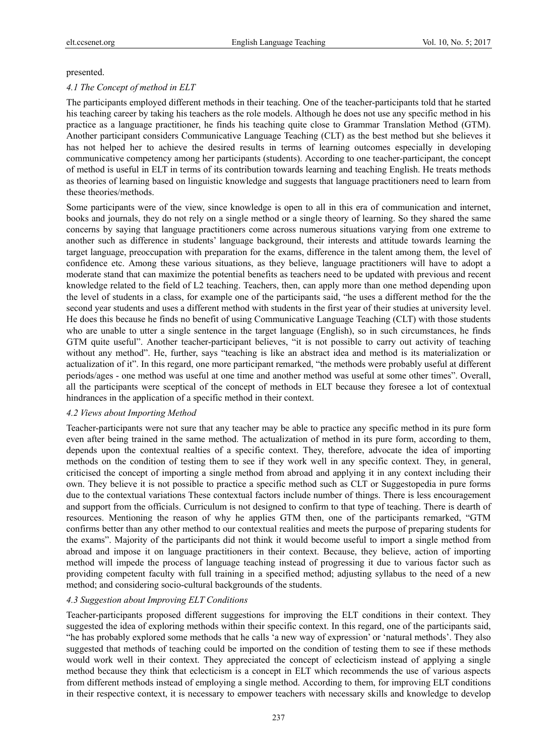#### presented.

#### *4.1 The Concept of method in ELT*

The participants employed different methods in their teaching. One of the teacher-participants told that he started his teaching career by taking his teachers as the role models. Although he does not use any specific method in his practice as a language practitioner, he finds his teaching quite close to Grammar Translation Method (GTM). Another participant considers Communicative Language Teaching (CLT) as the best method but she believes it has not helped her to achieve the desired results in terms of learning outcomes especially in developing communicative competency among her participants (students). According to one teacher-participant, the concept of method is useful in ELT in terms of its contribution towards learning and teaching English. He treats methods as theories of learning based on linguistic knowledge and suggests that language practitioners need to learn from these theories/methods.

Some participants were of the view, since knowledge is open to all in this era of communication and internet, books and journals, they do not rely on a single method or a single theory of learning. So they shared the same concerns by saying that language practitioners come across numerous situations varying from one extreme to another such as difference in students' language background, their interests and attitude towards learning the target language, preoccupation with preparation for the exams, difference in the talent among them, the level of confidence etc. Among these various situations, as they believe, language practitioners will have to adopt a moderate stand that can maximize the potential benefits as teachers need to be updated with previous and recent knowledge related to the field of L2 teaching. Teachers, then, can apply more than one method depending upon the level of students in a class, for example one of the participants said, "he uses a different method for the the second year students and uses a different method with students in the first year of their studies at university level. He does this because he finds no benefit of using Communicative Language Teaching (CLT) with those students who are unable to utter a single sentence in the target language (English), so in such circumstances, he finds GTM quite useful". Another teacher-participant believes, "it is not possible to carry out activity of teaching without any method". He, further, says "teaching is like an abstract idea and method is its materialization or actualization of it". In this regard, one more participant remarked, "the methods were probably useful at different periods/ages - one method was useful at one time and another method was useful at some other times". Overall, all the participants were sceptical of the concept of methods in ELT because they foresee a lot of contextual hindrances in the application of a specific method in their context.

#### *4.2 Views about Importing Method*

Teacher-participants were not sure that any teacher may be able to practice any specific method in its pure form even after being trained in the same method. The actualization of method in its pure form, according to them, depends upon the contextual realties of a specific context. They, therefore, advocate the idea of importing methods on the condition of testing them to see if they work well in any specific context. They, in general, criticised the concept of importing a single method from abroad and applying it in any context including their own. They believe it is not possible to practice a specific method such as CLT or Suggestopedia in pure forms due to the contextual variations These contextual factors include number of things. There is less encouragement and support from the officials. Curriculum is not designed to confirm to that type of teaching. There is dearth of resources. Mentioning the reason of why he applies GTM then, one of the participants remarked, "GTM confirms better than any other method to our contextual realities and meets the purpose of preparing students for the exams". Majority of the participants did not think it would become useful to import a single method from abroad and impose it on language practitioners in their context. Because, they believe, action of importing method will impede the process of language teaching instead of progressing it due to various factor such as providing competent faculty with full training in a specified method; adjusting syllabus to the need of a new method; and considering socio-cultural backgrounds of the students.

#### *4.3 Suggestion about Improving ELT Conditions*

Teacher-participants proposed different suggestions for improving the ELT conditions in their context. They suggested the idea of exploring methods within their specific context. In this regard, one of the participants said, "he has probably explored some methods that he calls 'a new way of expression' or 'natural methods'. They also suggested that methods of teaching could be imported on the condition of testing them to see if these methods would work well in their context. They appreciated the concept of eclecticism instead of applying a single method because they think that eclecticism is a concept in ELT which recommends the use of various aspects from different methods instead of employing a single method. According to them, for improving ELT conditions in their respective context, it is necessary to empower teachers with necessary skills and knowledge to develop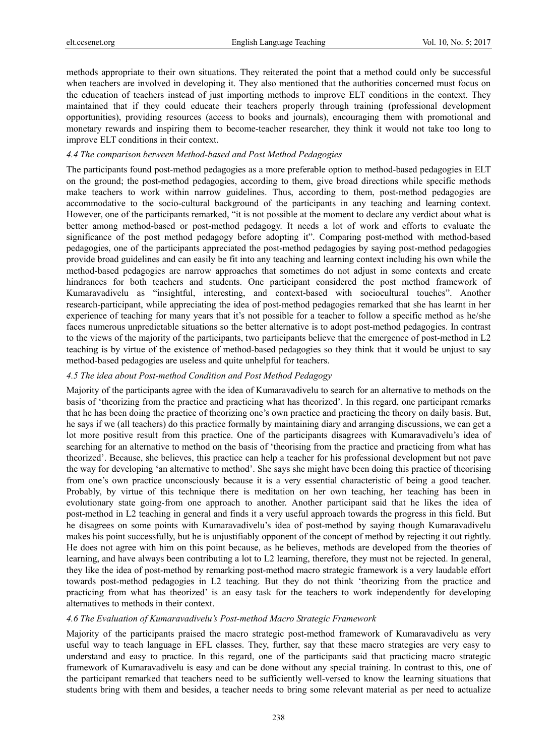methods appropriate to their own situations. They reiterated the point that a method could only be successful when teachers are involved in developing it. They also mentioned that the authorities concerned must focus on the education of teachers instead of just importing methods to improve ELT conditions in the context. They maintained that if they could educate their teachers properly through training (professional development opportunities), providing resources (access to books and journals), encouraging them with promotional and monetary rewards and inspiring them to become-teacher researcher, they think it would not take too long to improve ELT conditions in their context.

#### *4.4 The comparison between Method-based and Post Method Pedagogies*

The participants found post-method pedagogies as a more preferable option to method-based pedagogies in ELT on the ground; the post-method pedagogies, according to them, give broad directions while specific methods make teachers to work within narrow guidelines. Thus, according to them, post-method pedagogies are accommodative to the socio-cultural background of the participants in any teaching and learning context. However, one of the participants remarked, "it is not possible at the moment to declare any verdict about what is better among method-based or post-method pedagogy. It needs a lot of work and efforts to evaluate the significance of the post method pedagogy before adopting it". Comparing post-method with method-based pedagogies, one of the participants appreciated the post-method pedagogies by saying post-method pedagogies provide broad guidelines and can easily be fit into any teaching and learning context including his own while the method-based pedagogies are narrow approaches that sometimes do not adjust in some contexts and create hindrances for both teachers and students. One participant considered the post method framework of Kumaravadivelu as "insightful, interesting, and context-based with sociocultural touches". Another research-participant, while appreciating the idea of post-method pedagogies remarked that she has learnt in her experience of teaching for many years that it's not possible for a teacher to follow a specific method as he/she faces numerous unpredictable situations so the better alternative is to adopt post-method pedagogies. In contrast to the views of the majority of the participants, two participants believe that the emergence of post-method in L2 teaching is by virtue of the existence of method-based pedagogies so they think that it would be unjust to say method-based pedagogies are useless and quite unhelpful for teachers.

#### *4.5 The idea about Post-method Condition and Post Method Pedagogy*

Majority of the participants agree with the idea of Kumaravadivelu to search for an alternative to methods on the basis of 'theorizing from the practice and practicing what has theorized'. In this regard, one participant remarks that he has been doing the practice of theorizing one's own practice and practicing the theory on daily basis. But, he says if we (all teachers) do this practice formally by maintaining diary and arranging discussions, we can get a lot more positive result from this practice. One of the participants disagrees with Kumaravadivelu's idea of searching for an alternative to method on the basis of 'theorising from the practice and practicing from what has theorized'. Because, she believes, this practice can help a teacher for his professional development but not pave the way for developing 'an alternative to method'. She says she might have been doing this practice of theorising from one's own practice unconsciously because it is a very essential characteristic of being a good teacher. Probably, by virtue of this technique there is meditation on her own teaching, her teaching has been in evolutionary state going-from one approach to another. Another participant said that he likes the idea of post-method in L2 teaching in general and finds it a very useful approach towards the progress in this field. But he disagrees on some points with Kumaravadivelu's idea of post-method by saying though Kumaravadivelu makes his point successfully, but he is unjustifiably opponent of the concept of method by rejecting it out rightly. He does not agree with him on this point because, as he believes, methods are developed from the theories of learning, and have always been contributing a lot to L2 learning, therefore, they must not be rejected. In general, they like the idea of post-method by remarking post-method macro strategic framework is a very laudable effort towards post-method pedagogies in L2 teaching. But they do not think 'theorizing from the practice and practicing from what has theorized' is an easy task for the teachers to work independently for developing alternatives to methods in their context.

#### *4.6 The Evaluation of Kumaravadivelu's Post-method Macro Strategic Framework*

Majority of the participants praised the macro strategic post-method framework of Kumaravadivelu as very useful way to teach language in EFL classes. They, further, say that these macro strategies are very easy to understand and easy to practice. In this regard, one of the participants said that practicing macro strategic framework of Kumaravadivelu is easy and can be done without any special training. In contrast to this, one of the participant remarked that teachers need to be sufficiently well-versed to know the learning situations that students bring with them and besides, a teacher needs to bring some relevant material as per need to actualize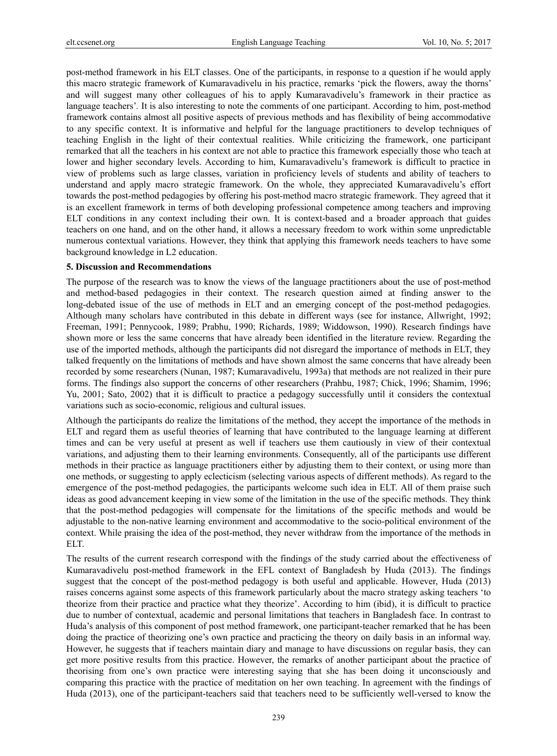post-method framework in his ELT classes. One of the participants, in response to a question if he would apply this macro strategic framework of Kumaravadivelu in his practice, remarks 'pick the flowers, away the thorns' and will suggest many other colleagues of his to apply Kumaravadivelu's framework in their practice as language teachers'*.* It is also interesting to note the comments of one participant. According to him, post-method framework contains almost all positive aspects of previous methods and has flexibility of being accommodative to any specific context. It is informative and helpful for the language practitioners to develop techniques of teaching English in the light of their contextual realities. While criticizing the framework, one participant remarked that all the teachers in his context are not able to practice this framework especially those who teach at lower and higher secondary levels. According to him, Kumaravadivelu's framework is difficult to practice in view of problems such as large classes, variation in proficiency levels of students and ability of teachers to understand and apply macro strategic framework. On the whole, they appreciated Kumaravadivelu's effort towards the post-method pedagogies by offering his post-method macro strategic framework. They agreed that it is an excellent framework in terms of both developing professional competence among teachers and improving ELT conditions in any context including their own. It is context-based and a broader approach that guides teachers on one hand, and on the other hand, it allows a necessary freedom to work within some unpredictable numerous contextual variations. However, they think that applying this framework needs teachers to have some background knowledge in L2 education.

#### **5. Discussion and Recommendations**

The purpose of the research was to know the views of the language practitioners about the use of post-method and method-based pedagogies in their context. The research question aimed at finding answer to the long-debated issue of the use of methods in ELT and an emerging concept of the post-method pedagogies. Although many scholars have contributed in this debate in different ways (see for instance, Allwright, 1992; Freeman, 1991; Pennycook, 1989; Prabhu, 1990; Richards, 1989; Widdowson, 1990). Research findings have shown more or less the same concerns that have already been identified in the literature review. Regarding the use of the imported methods, although the participants did not disregard the importance of methods in ELT, they talked frequently on the limitations of methods and have shown almost the same concerns that have already been recorded by some researchers (Nunan, 1987; Kumaravadivelu, 1993a) that methods are not realized in their pure forms. The findings also support the concerns of other researchers (Prahbu, 1987; Chick, 1996; Shamim, 1996; Yu, 2001; Sato, 2002) that it is difficult to practice a pedagogy successfully until it considers the contextual variations such as socio-economic, religious and cultural issues.

Although the participants do realize the limitations of the method, they accept the importance of the methods in ELT and regard them as useful theories of learning that have contributed to the language learning at different times and can be very useful at present as well if teachers use them cautiously in view of their contextual variations, and adjusting them to their learning environments. Consequently, all of the participants use different methods in their practice as language practitioners either by adjusting them to their context, or using more than one methods, or suggesting to apply eclecticism (selecting various aspects of different methods). As regard to the emergence of the post-method pedagogies, the participants welcome such idea in ELT. All of them praise such ideas as good advancement keeping in view some of the limitation in the use of the specific methods. They think that the post-method pedagogies will compensate for the limitations of the specific methods and would be adjustable to the non-native learning environment and accommodative to the socio-political environment of the context. While praising the idea of the post-method, they never withdraw from the importance of the methods in ELT.

The results of the current research correspond with the findings of the study carried about the effectiveness of Kumaravadivelu post-method framework in the EFL context of Bangladesh by Huda (2013). The findings suggest that the concept of the post-method pedagogy is both useful and applicable. However, Huda (2013) raises concerns against some aspects of this framework particularly about the macro strategy asking teachers 'to theorize from their practice and practice what they theorize'. According to him (ibid), it is difficult to practice due to number of contextual, academic and personal limitations that teachers in Bangladesh face. In contrast to Huda's analysis of this component of post method framework, one participant-teacher remarked that he has been doing the practice of theorizing one's own practice and practicing the theory on daily basis in an informal way. However, he suggests that if teachers maintain diary and manage to have discussions on regular basis, they can get more positive results from this practice. However, the remarks of another participant about the practice of theorising from one's own practice were interesting saying that she has been doing it unconsciously and comparing this practice with the practice of meditation on her own teaching. In agreement with the findings of Huda (2013), one of the participant-teachers said that teachers need to be sufficiently well-versed to know the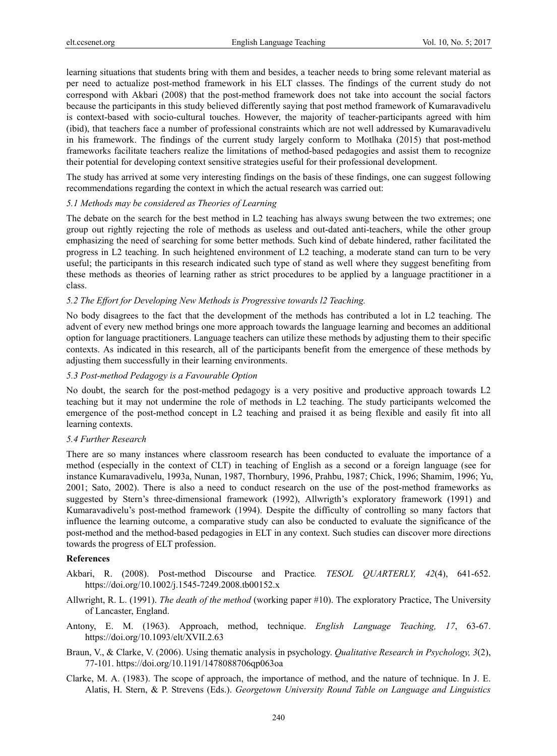learning situations that students bring with them and besides, a teacher needs to bring some relevant material as per need to actualize post-method framework in his ELT classes. The findings of the current study do not correspond with Akbari (2008) that the post-method framework does not take into account the social factors because the participants in this study believed differently saying that post method framework of Kumaravadivelu is context-based with socio-cultural touches. However, the majority of teacher-participants agreed with him (ibid), that teachers face a number of professional constraints which are not well addressed by Kumaravadivelu in his framework. The findings of the current study largely conform to Motlhaka (2015) that post-method frameworks facilitate teachers realize the limitations of method-based pedagogies and assist them to recognize their potential for developing context sensitive strategies useful for their professional development.

The study has arrived at some very interesting findings on the basis of these findings, one can suggest following recommendations regarding the context in which the actual research was carried out:

## *5.1 Methods may be considered as Theories of Learning*

The debate on the search for the best method in L2 teaching has always swung between the two extremes; one group out rightly rejecting the role of methods as useless and out-dated anti-teachers, while the other group emphasizing the need of searching for some better methods. Such kind of debate hindered, rather facilitated the progress in L2 teaching. In such heightened environment of L2 teaching, a moderate stand can turn to be very useful; the participants in this research indicated such type of stand as well where they suggest benefiting from these methods as theories of learning rather as strict procedures to be applied by a language practitioner in a class.

## *5.2 The Effort for Developing New Methods is Progressive towards l2 Teaching.*

No body disagrees to the fact that the development of the methods has contributed a lot in L2 teaching. The advent of every new method brings one more approach towards the language learning and becomes an additional option for language practitioners. Language teachers can utilize these methods by adjusting them to their specific contexts. As indicated in this research, all of the participants benefit from the emergence of these methods by adjusting them successfully in their learning environments.

## *5.3 Post-method Pedagogy is a Favourable Option*

No doubt, the search for the post-method pedagogy is a very positive and productive approach towards L2 teaching but it may not undermine the role of methods in L2 teaching. The study participants welcomed the emergence of the post-method concept in L2 teaching and praised it as being flexible and easily fit into all learning contexts.

#### *5.4 Further Research*

There are so many instances where classroom research has been conducted to evaluate the importance of a method (especially in the context of CLT) in teaching of English as a second or a foreign language (see for instance Kumaravadivelu, 1993a, Nunan, 1987, Thornbury, 1996, Prahbu, 1987; Chick, 1996; Shamim, 1996; Yu, 2001; Sato, 2002). There is also a need to conduct research on the use of the post-method frameworks as suggested by Stern's three-dimensional framework (1992), Allwrigth's exploratory framework (1991) and Kumaravadivelu's post-method framework (1994). Despite the difficulty of controlling so many factors that influence the learning outcome, a comparative study can also be conducted to evaluate the significance of the post-method and the method-based pedagogies in ELT in any context. Such studies can discover more directions towards the progress of ELT profession.

#### **References**

- Akbari, R. (2008). Post-method Discourse and Practice*. TESOL QUARTERLY, 42*(4), 641-652. https://doi.org/10.1002/j.1545-7249.2008.tb00152.x
- Allwright, R. L. (1991). *The death of the method* (working paper #10). The exploratory Practice, The University of Lancaster, England.
- Antony, E. M. (1963). Approach, method, technique. *English Language Teaching, 17*, 63-67. https://doi.org/10.1093/elt/XVII.2.63
- Braun, V., & Clarke, V. (2006). Using thematic analysis in psychology. *Qualitative Research in Psychology, 3*(2), 77-101. https://doi.org/10.1191/1478088706qp063oa
- Clarke, M. A. (1983). The scope of approach, the importance of method, and the nature of technique. In J. E. Alatis, H. Stern, & P. Strevens (Eds.). *Georgetown University Round Table on Language and Linguistics*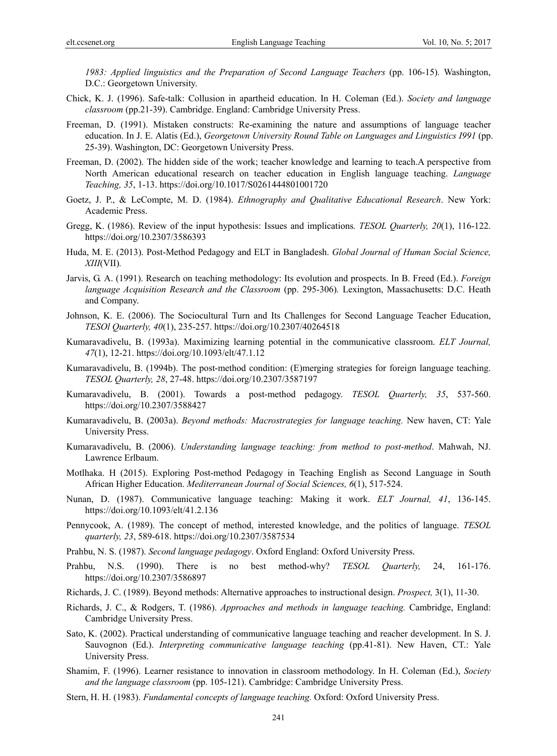*1983: Applied linguistics and the Preparation of Second Language Teachers* (pp. 106-15)*.* Washington, D.C.: Georgetown University.

- Chick, K. J. (1996). Safe-talk: Collusion in apartheid education. In H. Coleman (Ed.). *Society and language classroom* (pp.21-39). Cambridge. England: Cambridge University Press.
- Freeman, D. (1991). Mistaken constructs: Re-examining the nature and assumptions of language teacher education. In J. E. Alatis (Ed.), *Georgetown University Round Table on Languages and Linguistics 1991* (pp. 25-39). Washington, DC: Georgetown University Press.
- Freeman, D. (2002). The hidden side of the work; teacher knowledge and learning to teach.A perspective from North American educational research on teacher education in English language teaching. *Language Teaching, 35*, 1-13. https://doi.org/10.1017/S0261444801001720
- Goetz, J. P., & LeCompte, M. D. (1984). *Ethnography and Qualitative Educational Research*. New York: Academic Press.
- Gregg, K. (1986). Review of the input hypothesis: Issues and implications*. TESOL Quarterly, 20*(1), 116-122. https://doi.org/10.2307/3586393
- Huda, M. E. (2013). Post-Method Pedagogy and ELT in Bangladesh. *Global Journal of Human Social Science, XIII*(VII)*.*
- Jarvis, G. A. (1991). Research on teaching methodology: Its evolution and prospects. In B. Freed (Ed.). *Foreign language Acquisition Research and the Classroom* (pp. 295-306)*.* Lexington, Massachusetts: D.C. Heath and Company.
- Johnson, K. E. (2006). The Sociocultural Turn and Its Challenges for Second Language Teacher Education, *TESOl Quarterly, 40*(1), 235-257. https://doi.org/10.2307/40264518
- Kumaravadivelu, B. (1993a). Maximizing learning potential in the communicative classroom. *ELT Journal, 47*(1), 12-21. https://doi.org/10.1093/elt/47.1.12
- Kumaravadivelu, B. (1994b). The post-method condition: (E)merging strategies for foreign language teaching. *TESOL Quarterly, 28*, 27-48. https://doi.org/10.2307/3587197
- Kumaravadivelu, B. (2001). Towards a post-method pedagogy. *TESOL Quarterly, 35*, 537-560. https://doi.org/10.2307/3588427
- Kumaravadivelu, B. (2003a). *Beyond methods: Macrostrategies for language teaching.* New haven, CT: Yale University Press.
- Kumaravadivelu, B. (2006). *Understanding language teaching: from method to post-method*. Mahwah, NJ. Lawrence Erlbaum.
- Motlhaka. H (2015). Exploring Post-method Pedagogy in Teaching English as Second Language in South African Higher Education. *Mediterranean Journal of Social Sciences, 6*(1), 517-524.
- Nunan, D. (1987). Communicative language teaching: Making it work. *ELT Journal, 41*, 136-145. https://doi.org/10.1093/elt/41.2.136
- Pennycook, A. (1989). The concept of method, interested knowledge, and the politics of language. *TESOL quarterly, 23*, 589-618. https://doi.org/10.2307/3587534
- Prahbu, N. S. (1987). *Second language pedagogy*. Oxford England: Oxford University Press.
- Prahbu, N.S. (1990). There is no best method-why? *TESOL Quarterly,* 24, 161-176. https://doi.org/10.2307/3586897
- Richards, J. C. (1989). Beyond methods: Alternative approaches to instructional design. *Prospect,* 3(1), 11-30.
- Richards, J. C., & Rodgers, T. (1986). *Approaches and methods in language teaching.* Cambridge, England: Cambridge University Press.
- Sato, K. (2002). Practical understanding of communicative language teaching and reacher development. In S. J. Sauvognon (Ed.). *Interpreting communicative language teaching* (pp.41-81). New Haven, CT.: Yale University Press.
- Shamim, F. (1996). Learner resistance to innovation in classroom methodology. In H. Coleman (Ed.), *Society and the language classroom* (pp. 105-121). Cambridge: Cambridge University Press.
- Stern, H. H. (1983). *Fundamental concepts of language teaching.* Oxford: Oxford University Press.